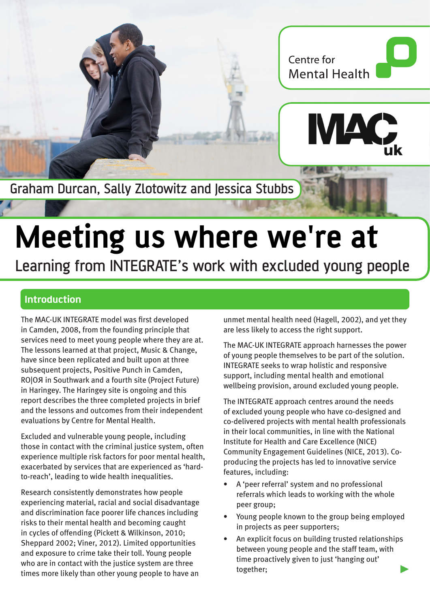

Graham Durcan, Sally Zlotowitz and Jessica Stubbs

# **Meeting us where we're at**

Learning from INTEGRATE's work with excluded young people

# **Introduction**

The MAC-UK INTEGRATE model was first developed in Camden, 2008, from the founding principle that services need to meet young people where they are at. The lessons learned at that project, Music & Change, have since been replicated and built upon at three subsequent projects, Positive Punch in Camden, RO|OЯ in Southwark and a fourth site (Project Future) in Haringey. The Haringey site is ongoing and this report describes the three completed projects in brief and the lessons and outcomes from their independent evaluations by Centre for Mental Health.

Excluded and vulnerable young people, including those in contact with the criminal justice system, often experience multiple risk factors for poor mental health, exacerbated by services that are experienced as 'hardto-reach', leading to wide health inequalities.

Research consistently demonstrates how people experiencing material, racial and social disadvantage and discrimination face poorer life chances including risks to their mental health and becoming caught in cycles of offending (Pickett & Wilkinson, 2010; Sheppard 2002; Viner, 2012). Limited opportunities and exposure to crime take their toll. Young people who are in contact with the justice system are three times more likely than other young people to have an

unmet mental health need (Hagell, 2002), and yet they are less likely to access the right support.

The MAC-UK INTEGRATE approach harnesses the power of young people themselves to be part of the solution. INTEGRATE seeks to wrap holistic and responsive support, including mental health and emotional wellbeing provision, around excluded young people.

The INTEGRATE approach centres around the needs of excluded young people who have co-designed and co-delivered projects with mental health professionals in their local communities, in line with the National Institute for Health and Care Excellence (NICE) Community Engagement Guidelines (NICE, 2013). Coproducing the projects has led to innovative service features, including:

- A 'peer referral' system and no professional referrals which leads to working with the whole peer group;
- Young people known to the group being employed in projects as peer supporters;
- An explicit focus on building trusted relationships between young people and the staff team, with time proactively given to just 'hanging out' together;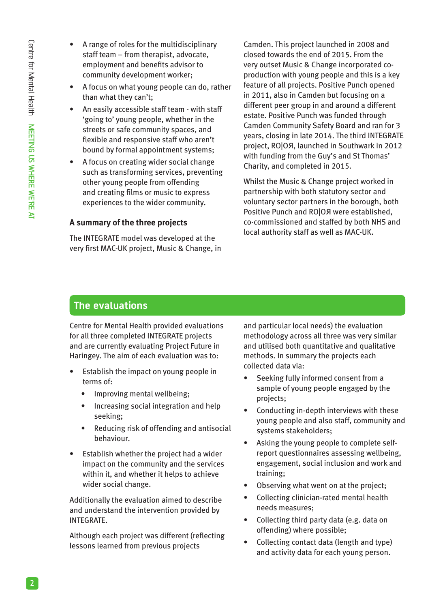- A range of roles for the multidisciplinary staff team – from therapist, advocate, employment and benefits advisor to community development worker;
- A focus on what young people can do, rather than what they can't;
- An easily accessible staff team with staff 'going to' young people, whether in the streets or safe community spaces, and flexible and responsive staff who aren't bound by formal appointment systems;
- A focus on creating wider social change such as transforming services, preventing other young people from offending and creating films or music to express experiences to the wider community.

## **A summary of the three projects**

The INTEGRATE model was developed at the very first MAC-UK project, Music & Change, in Camden. This project launched in 2008 and closed towards the end of 2015. From the very outset Music & Change incorporated coproduction with young people and this is a key feature of all projects. Positive Punch opened in 2011, also in Camden but focusing on a different peer group in and around a different estate. Positive Punch was funded through Camden Community Safety Board and ran for 3 years, closing in late 2014. The third INTEGRATE project, RO|OЯ, launched in Southwark in 2012 with funding from the Guy's and St Thomas' Charity, and completed in 2015.

Whilst the Music & Change project worked in partnership with both statutory sector and voluntary sector partners in the borough, both Positive Punch and RO|OЯ were established, co-commissioned and staffed by both NHS and local authority staff as well as MAC-UK.

# **The evaluations**

Centre for Mental Health provided evaluations for all three completed INTEGRATE projects and are currently evaluating Project Future in Haringey. The aim of each evaluation was to:

- Establish the impact on young people in terms of:
	- Improving mental wellbeing;
	- Increasing social integration and help seeking;
	- Reducing risk of offending and antisocial behaviour.
- Establish whether the project had a wider impact on the community and the services within it, and whether it helps to achieve wider social change.

Additionally the evaluation aimed to describe and understand the intervention provided by INTEGRATE.

Although each project was different (reflecting lessons learned from previous projects

and particular local needs) the evaluation methodology across all three was very similar and utilised both quantitative and qualitative methods. In summary the projects each collected data via:

- Seeking fully informed consent from a sample of young people engaged by the projects;
- Conducting in-depth interviews with these young people and also staff, community and systems stakeholders;
- Asking the young people to complete selfreport questionnaires assessing wellbeing, engagement, social inclusion and work and training;
- Observing what went on at the project;
- Collecting clinician-rated mental health needs measures;
- Collecting third party data (e.g. data on offending) where possible;
- Collecting contact data (length and type) and activity data for each young person.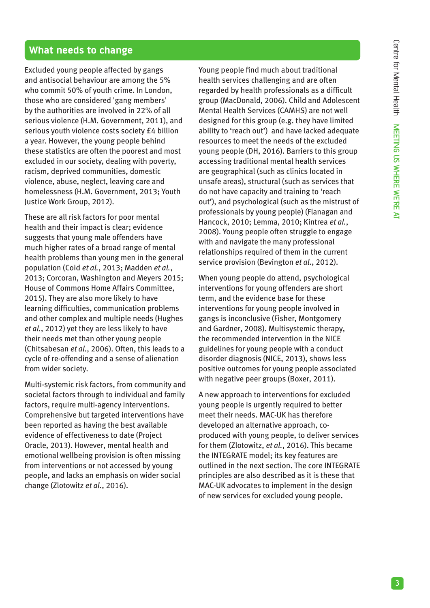# **What needs to change**

Excluded young people affected by gangs and antisocial behaviour are among the 5% who commit 50% of youth crime. In London, those who are considered 'gang members' by the authorities are involved in 22% of all serious violence (H.M. Government, 2011), and serious youth violence costs society £4 billion a year. However, the young people behind these statistics are often the poorest and most excluded in our society, dealing with poverty, racism, deprived communities, domestic violence, abuse, neglect, leaving care and homelessness (H.M. Government, 2013; Youth Justice Work Group, 2012).

These are all risk factors for poor mental health and their impact is clear; evidence suggests that young male offenders have much higher rates of a broad range of mental health problems than young men in the general population (Coid *et al.*, 2013; Madden *et al.*, 2013; Corcoran, Washington and Meyers 2015; House of Commons Home Affairs Committee, 2015). They are also more likely to have learning difficulties, communication problems and other complex and multiple needs (Hughes *et al.*, 2012) yet they are less likely to have their needs met than other young people (Chitsabesan *et al.*, 2006). Often, this leads to a cycle of re-offending and a sense of alienation from wider society.

Multi-systemic risk factors, from community and societal factors through to individual and family factors, require multi-agency interventions. Comprehensive but targeted interventions have been reported as having the best available evidence of effectiveness to date (Project Oracle, 2013). However, mental health and emotional wellbeing provision is often missing from interventions or not accessed by young people, and lacks an emphasis on wider social change (Zlotowitz *et al.*, 2016).

Young people find much about traditional health services challenging and are often regarded by health professionals as a difficult group (MacDonald, 2006). Child and Adolescent Mental Health Services (CAMHS) are not well designed for this group (e.g. they have limited ability to 'reach out') and have lacked adequate resources to meet the needs of the excluded young people (DH, 2016). Barriers to this group accessing traditional mental health services are geographical (such as clinics located in unsafe areas), structural (such as services that do not have capacity and training to 'reach out'), and psychological (such as the mistrust of professionals by young people) (Flanagan and Hancock, 2010; Lemma, 2010; Kintrea *et al.*, 2008). Young people often struggle to engage with and navigate the many professional relationships required of them in the current service provision (Bevington *et al.*, 2012).

When young people do attend, psychological interventions for young offenders are short term, and the evidence base for these interventions for young people involved in gangs is inconclusive (Fisher, Montgomery and Gardner, 2008). Multisystemic therapy, the recommended intervention in the NICE guidelines for young people with a conduct disorder diagnosis (NICE, 2013), shows less positive outcomes for young people associated with negative peer groups (Boxer, 2011).

A new approach to interventions for excluded young people is urgently required to better meet their needs. MAC-UK has therefore developed an alternative approach, coproduced with young people, to deliver services for them (Zlotowitz, *et al.*, 2016). This became the INTEGRATE model; its key features are outlined in the next section. The core INTEGRATE principles are also described as it is these that MAC-UK advocates to implement in the design of new services for excluded young people.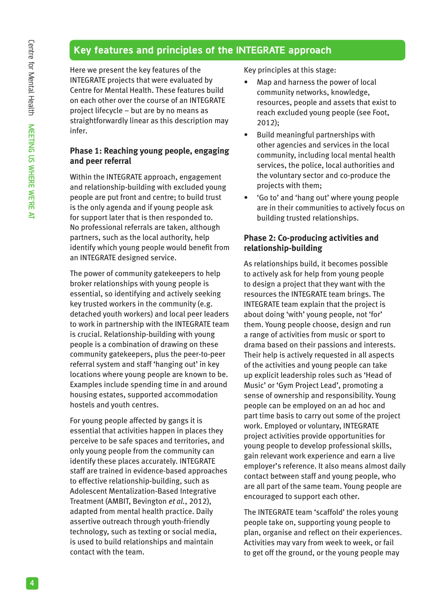# **Key features and principles of the INTEGRATE approach**

Here we present the key features of the INTEGRATE projects that were evaluated by Centre for Mental Health. These features build on each other over the course of an INTEGRATE project lifecycle – but are by no means as straightforwardly linear as this description may infer.

## **Phase 1: Reaching young people, engaging and peer referral**

Within the INTEGRATE approach, engagement and relationship-building with excluded young people are put front and centre; to build trust is the only agenda and if young people ask for support later that is then responded to. No professional referrals are taken, although partners, such as the local authority, help identify which young people would benefit from an INTEGRATE designed service.

The power of community gatekeepers to help broker relationships with young people is essential, so identifying and actively seeking key trusted workers in the community (e.g. detached youth workers) and local peer leaders to work in partnership with the INTEGRATE team is crucial. Relationship-building with young people is a combination of drawing on these community gatekeepers, plus the peer-to-peer referral system and staff 'hanging out' in key locations where young people are known to be. Examples include spending time in and around housing estates, supported accommodation hostels and youth centres.

For young people affected by gangs it is essential that activities happen in places they perceive to be safe spaces and territories, and only young people from the community can identify these places accurately. INTEGRATE staff are trained in evidence-based approaches to effective relationship-building, such as Adolescent Mentalization-Based Integrative Treatment (AMBIT, Bevington *et al.*, 2012), adapted from mental health practice. Daily assertive outreach through youth-friendly technology, such as texting or social media, is used to build relationships and maintain contact with the team.

Key principles at this stage:

- Map and harness the power of local community networks, knowledge, resources, people and assets that exist to reach excluded young people (see Foot, 2012);
- Build meaningful partnerships with other agencies and services in the local community, including local mental health services, the police, local authorities and the voluntary sector and co-produce the projects with them;
- 'Go to' and 'hang out' where young people are in their communities to actively focus on building trusted relationships.

## **Phase 2: Co-producing activities and relationship-building**

As relationships build, it becomes possible to actively ask for help from young people to design a project that they want with the resources the INTEGRATE team brings. The INTEGRATE team explain that the project is about doing 'with' young people, not 'for' them. Young people choose, design and run a range of activities from music or sport to drama based on their passions and interests. Their help is actively requested in all aspects of the activities and young people can take up explicit leadership roles such as 'Head of Music' or 'Gym Project Lead', promoting a sense of ownership and responsibility. Young people can be employed on an ad hoc and part time basis to carry out some of the project work. Employed or voluntary, INTEGRATE project activities provide opportunities for young people to develop professional skills, gain relevant work experience and earn a live employer's reference. It also means almost daily contact between staff and young people, who are all part of the same team. Young people are encouraged to support each other.

The INTEGRATE team 'scaffold' the roles young people take on, supporting young people to plan, organise and reflect on their experiences. Activities may vary from week to week, or fail to get off the ground, or the young people may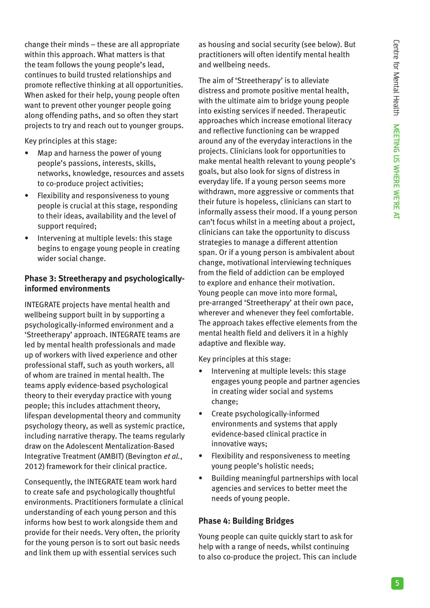change their minds – these are all appropriate within this approach. What matters is that the team follows the young people's lead, continues to build trusted relationships and promote reflective thinking at all opportunities. When asked for their help, young people often want to prevent other younger people going along offending paths, and so often they start projects to try and reach out to younger groups.

Key principles at this stage:

- Map and harness the power of young people's passions, interests, skills, networks, knowledge, resources and assets to co-produce project activities;
- Flexibility and responsiveness to young people is crucial at this stage, responding to their ideas, availability and the level of support required;
- Intervening at multiple levels: this stage begins to engage young people in creating wider social change.

# **Phase 3: Streetherapy and psychologicallyinformed environments**

INTEGRATE projects have mental health and wellbeing support built in by supporting a psychologically-informed environment and a 'Streetherapy' approach. INTEGRATE teams are led by mental health professionals and made up of workers with lived experience and other professional staff, such as youth workers, all of whom are trained in mental health. The teams apply evidence-based psychological theory to their everyday practice with young people; this includes attachment theory, lifespan developmental theory and community psychology theory, as well as systemic practice, including narrative therapy. The teams regularly draw on the Adolescent Mentalization-Based Integrative Treatment (AMBIT) (Bevington *et al.*, 2012) framework for their clinical practice.

Consequently, the INTEGRATE team work hard to create safe and psychologically thoughtful environments. Practitioners formulate a clinical understanding of each young person and this informs how best to work alongside them and provide for their needs. Very often, the priority for the young person is to sort out basic needs and link them up with essential services such

as housing and social security (see below). But practitioners will often identify mental health and wellbeing needs.

The aim of 'Streetherapy' is to alleviate distress and promote positive mental health, with the ultimate aim to bridge young people into existing services if needed. Therapeutic approaches which increase emotional literacy and reflective functioning can be wrapped around any of the everyday interactions in the projects. Clinicians look for opportunities to make mental health relevant to young people's goals, but also look for signs of distress in everyday life. If a young person seems more withdrawn, more aggressive or comments that their future is hopeless, clinicians can start to informally assess their mood. If a young person can't focus whilst in a meeting about a project, clinicians can take the opportunity to discuss strategies to manage a different attention span. Or if a young person is ambivalent about change, motivational interviewing techniques from the field of addiction can be employed to explore and enhance their motivation. Young people can move into more formal, pre-arranged 'Streetherapy' at their own pace, wherever and whenever they feel comfortable. The approach takes effective elements from the mental health field and delivers it in a highly adaptive and flexible way.

Key principles at this stage:

- Intervening at multiple levels: this stage engages young people and partner agencies in creating wider social and systems change;
- Create psychologically-informed environments and systems that apply evidence-based clinical practice in innovative ways;
- Flexibility and responsiveness to meeting young people's holistic needs;
- Building meaningful partnerships with local agencies and services to better meet the needs of young people.

# **Phase 4: Building Bridges**

Young people can quite quickly start to ask for help with a range of needs, whilst continuing to also co-produce the project. This can include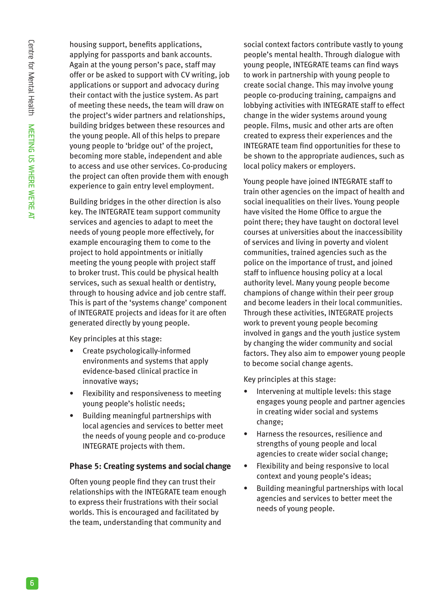housing support, benefits applications, applying for passports and bank accounts. Again at the young person's pace, staff may offer or be asked to support with CV writing, job applications or support and advocacy during their contact with the justice system. As part of meeting these needs, the team will draw on the project's wider partners and relationships, building bridges between these resources and the young people. All of this helps to prepare young people to 'bridge out' of the project, becoming more stable, independent and able to access and use other services. Co-producing the project can often provide them with enough experience to gain entry level employment.

Building bridges in the other direction is also key. The INTEGRATE team support community services and agencies to adapt to meet the needs of young people more effectively, for example encouraging them to come to the project to hold appointments or initially meeting the young people with project staff to broker trust. This could be physical health services, such as sexual health or dentistry, through to housing advice and job centre staff. This is part of the 'systems change' component of INTEGRATE projects and ideas for it are often generated directly by young people.

Key principles at this stage:

- Create psychologically-informed environments and systems that apply evidence-based clinical practice in innovative ways;
- Flexibility and responsiveness to meeting young people's holistic needs;
- Building meaningful partnerships with local agencies and services to better meet the needs of young people and co-produce INTEGRATE projects with them.

## **Phase 5: Creating systems and social change**

Often young people find they can trust their relationships with the INTEGRATE team enough to express their frustrations with their social worlds. This is encouraged and facilitated by the team, understanding that community and

social context factors contribute vastly to young people's mental health. Through dialogue with young people, INTEGRATE teams can find ways to work in partnership with young people to create social change. This may involve young people co-producing training, campaigns and lobbying activities with INTEGRATE staff to effect change in the wider systems around young people. Films, music and other arts are often created to express their experiences and the INTEGRATE team find opportunities for these to be shown to the appropriate audiences, such as local policy makers or employers.

Young people have joined INTEGRATE staff to train other agencies on the impact of health and social inequalities on their lives. Young people have visited the Home Office to argue the point there; they have taught on doctoral level courses at universities about the inaccessibility of services and living in poverty and violent communities, trained agencies such as the police on the importance of trust, and joined staff to influence housing policy at a local authority level. Many young people become champions of change within their peer group and become leaders in their local communities. Through these activities, INTEGRATE projects work to prevent young people becoming involved in gangs and the youth justice system by changing the wider community and social factors. They also aim to empower young people to become social change agents.

Key principles at this stage:

- Intervening at multiple levels: this stage engages young people and partner agencies in creating wider social and systems change;
- Harness the resources, resilience and strengths of young people and local agencies to create wider social change;
- Flexibility and being responsive to local context and young people's ideas;
- Building meaningful partnerships with local agencies and services to better meet the needs of young people.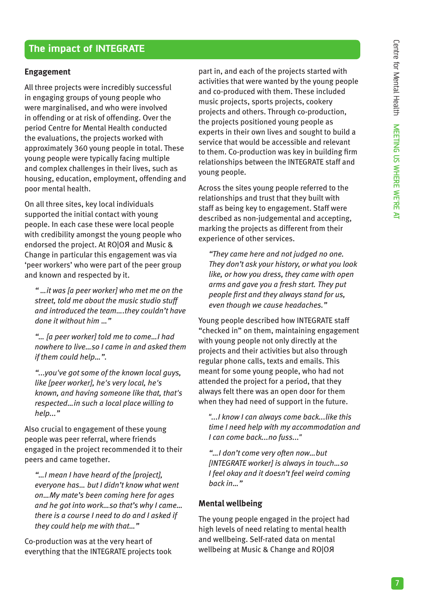# **The impact of INTEGRATE**

#### **Engagement**

All three projects were incredibly successful in engaging groups of young people who were marginalised, and who were involved in offending or at risk of offending. Over the period Centre for Mental Health conducted the evaluations, the projects worked with approximately 360 young people in total. These young people were typically facing multiple and complex challenges in their lives, such as housing, education, employment, offending and poor mental health.

On all three sites, key local individuals supported the initial contact with young people. In each case these were local people with credibility amongst the young people who endorsed the project. At RO|OЯ and Music & Change in particular this engagement was via 'peer workers' who were part of the peer group and known and respected by it.

*" …it was [a peer worker] who met me on the street, told me about the music studio stuff and introduced the team….they couldn't have done it without him …"*

*"… [a peer worker] told me to come…I had nowhere to live…so I came in and asked them if them could help…".*

*"...you've got some of the known local guys, like [peer worker], he's very local, he's known, and having someone like that, that's respected…in such a local place willing to help..."*

Also crucial to engagement of these young people was peer referral, where friends engaged in the project recommended it to their peers and came together.

*"…I mean I have heard of the [project], everyone has… but I didn't know what went on…My mate's been coming here for ages and he got into work…so that's why I came… there is a course I need to do and I asked if they could help me with that…"*

Co-production was at the very heart of everything that the INTEGRATE projects took

part in, and each of the projects started with activities that were wanted by the young people and co-produced with them. These included music projects, sports projects, cookery projects and others. Through co-production, the projects positioned young people as experts in their own lives and sought to build a service that would be accessible and relevant to them. Co-production was key in building firm relationships between the INTEGRATE staff and young people.

Across the sites young people referred to the relationships and trust that they built with staff as being key to engagement. Staff were described as non-judgemental and accepting, marking the projects as different from their experience of other services.

*"They came here and not judged no one. They don't ask your history, or what you look like, or how you dress, they came with open arms and gave you a fresh start. They put people first and they always stand for us, even though we cause headaches."*

Young people described how INTEGRATE staff "checked in" on them, maintaining engagement with young people not only directly at the projects and their activities but also through regular phone calls, texts and emails. This meant for some young people, who had not attended the project for a period, that they always felt there was an open door for them when they had need of support in the future.

*"...I know I can always come back...like this time I need help with my accommodation and I can come back...no fuss..."*

*"…I don't come very often now…but [INTEGRATE worker] is always in touch…so I feel okay and it doesn't feel weird coming back in…"*

#### **Mental wellbeing**

The young people engaged in the project had high levels of need relating to mental health and wellbeing. Self-rated data on mental wellbeing at Music & Change and RO|OЯ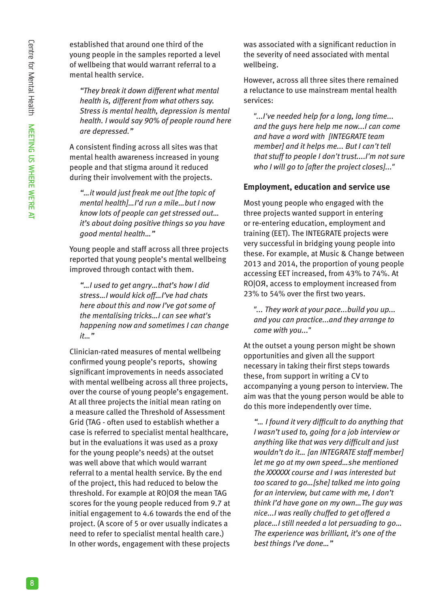established that around one third of the young people in the samples reported a level of wellbeing that would warrant referral to a mental health service.

*"They break it down different what mental health is, different from what others say. Stress is mental health, depression is mental health. I would say 90% of people round here are depressed."*

A consistent finding across all sites was that mental health awareness increased in young people and that stigma around it reduced during their involvement with the projects.

*"…it would just freak me out [the topic of mental health]…I'd run a mile…but I now know lots of people can get stressed out… it's about doing positive things so you have good mental health…"* 

Young people and staff across all three projects reported that young people's mental wellbeing improved through contact with them.

*"…I used to get angry…that's how I did stress…I would kick off…I've had chats here about this and now I've got some of the mentalising tricks…I can see what's happening now and sometimes I can change it…"*

Clinician-rated measures of mental wellbeing confirmed young people's reports, showing significant improvements in needs associated with mental wellbeing across all three projects, over the course of young people's engagement. At all three projects the initial mean rating on a measure called the Threshold of Assessment Grid (TAG - often used to establish whether a case is referred to specialist mental healthcare, but in the evaluations it was used as a proxy for the young people's needs) at the outset was well above that which would warrant referral to a mental health service. By the end of the project, this had reduced to below the threshold. For example at RO|OЯ the mean TAG scores for the young people reduced from 9.7 at initial engagement to 4.6 towards the end of the project. (A score of 5 or over usually indicates a need to refer to specialist mental health care.) In other words, engagement with these projects

was associated with a significant reduction in the severity of need associated with mental wellbeing.

However, across all three sites there remained a reluctance to use mainstream mental health services:

*"...I've needed help for a long, long time... and the guys here help me now...I can come and have a word with [INTEGRATE team member] and it helps me... But I can't tell that stuff to people I don't trust....I'm not sure who I will go to [after the project closes]..."*

### **Employment, education and service use**

Most young people who engaged with the three projects wanted support in entering or re-entering education, employment and training (EET). The INTEGRATE projects were very successful in bridging young people into these. For example, at Music & Change between 2013 and 2014, the proportion of young people accessing EET increased, from 43% to 74%. At RO|OЯ, access to employment increased from 23% to 54% over the first two years.

*"... They work at your pace...build you up... and you can practice...and they arrange to come with you..."*

At the outset a young person might be shown opportunities and given all the support necessary in taking their first steps towards these, from support in writing a CV to accompanying a young person to interview. The aim was that the young person would be able to do this more independently over time.

*"… I found it very difficult to do anything that I wasn't used to, going for a job interview or anything like that was very difficult and just wouldn't do it… [an INTEGRATE staff member] let me go at my own speed…she mentioned the XXXXXX course and I was interested but too scared to go…[she] talked me into going for an interview, but came with me, I don't think I'd have gone on my own…The guy was nice...I was really chuffed to get offered a place…I still needed a lot persuading to go… The experience was brilliant, it's one of the best things I've done…"*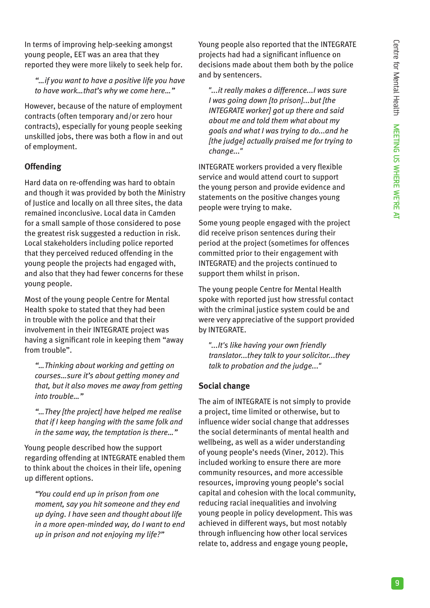In terms of improving help-seeking amongst young people, EET was an area that they reported they were more likely to seek help for.

*"…if you want to have a positive life you have to have work…that's why we come here…"*

However, because of the nature of employment contracts (often temporary and/or zero hour contracts), especially for young people seeking unskilled jobs, there was both a flow in and out of employment.

# **Offending**

Hard data on re-offending was hard to obtain and though it was provided by both the Ministry of Justice and locally on all three sites, the data remained inconclusive. Local data in Camden for a small sample of those considered to pose the greatest risk suggested a reduction in risk. Local stakeholders including police reported that they perceived reduced offending in the young people the projects had engaged with, and also that they had fewer concerns for these young people.

Most of the young people Centre for Mental Health spoke to stated that they had been in trouble with the police and that their involvement in their INTEGRATE project was having a significant role in keeping them "away from trouble".

*"…Thinking about working and getting on courses…sure it's about getting money and that, but it also moves me away from getting into trouble…"*

*"…They [the project] have helped me realise that if I keep hanging with the same folk and in the same way, the temptation is there…"*

Young people described how the support regarding offending at INTEGRATE enabled them to think about the choices in their life, opening up different options.

*"You could end up in prison from one moment, say you hit someone and they end up dying. I have seen and thought about life in a more open-minded way, do I want to end up in prison and not enjoying my life?"*

Young people also reported that the INTEGRATE projects had had a significant influence on decisions made about them both by the police and by sentencers.

*"...it really makes a difference...I was sure I was going down [to prison]...but [the INTEGRATE worker] got up there and said about me and told them what about my goals and what I was trying to do...and he [the judge] actually praised me for trying to change..."*

INTEGRATE workers provided a very flexible service and would attend court to support the young person and provide evidence and statements on the positive changes young people were trying to make.

Some young people engaged with the project did receive prison sentences during their period at the project (sometimes for offences committed prior to their engagement with INTEGRATE) and the projects continued to support them whilst in prison.

The young people Centre for Mental Health spoke with reported just how stressful contact with the criminal justice system could be and were very appreciative of the support provided by INTEGRATE.

*"...It's like having your own friendly translator...they talk to your solicitor...they talk to probation and the judge..."*

## **Social change**

The aim of INTEGRATE is not simply to provide a project, time limited or otherwise, but to influence wider social change that addresses the social determinants of mental health and wellbeing, as well as a wider understanding of young people's needs (Viner, 2012). This included working to ensure there are more community resources, and more accessible resources, improving young people's social capital and cohesion with the local community, reducing racial inequalities and involving young people in policy development. This was achieved in different ways, but most notably through influencing how other local services relate to, address and engage young people,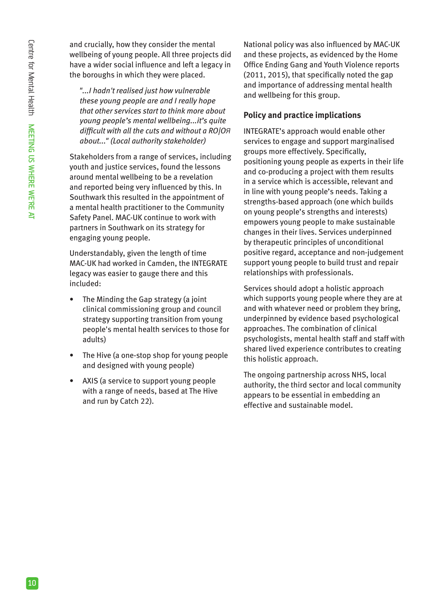and crucially, how they consider the mental wellbeing of young people. All three projects did have a wider social influence and left a legacy in the boroughs in which they were placed.

*"...I hadn't realised just how vulnerable these young people are and I really hope that other services start to think more about young people's mental wellbeing...it's quite difficult with all the cuts and without a RO|OЯ about..." (Local authority stakeholder)*

Stakeholders from a range of services, including youth and justice services, found the lessons around mental wellbeing to be a revelation and reported being very influenced by this. In Southwark this resulted in the appointment of a mental health practitioner to the Community Safety Panel. MAC-UK continue to work with partners in Southwark on its strategy for engaging young people.

Understandably, given the length of time MAC-UK had worked in Camden, the INTEGRATE legacy was easier to gauge there and this included:

- The Minding the Gap strategy (a joint clinical commissioning group and council strategy supporting transition from young people's mental health services to those for adults)
- The Hive (a one-stop shop for young people and designed with young people)
- AXIS (a service to support young people with a range of needs, based at The Hive and run by Catch 22).

National policy was also influenced by MAC-UK and these projects, as evidenced by the Home Office Ending Gang and Youth Violence reports (2011, 2015), that specifically noted the gap and importance of addressing mental health and wellbeing for this group.

# **Policy and practice implications**

INTEGRATE's approach would enable other services to engage and support marginalised groups more effectively. Specifically, positioning young people as experts in their life and co-producing a project with them results in a service which is accessible, relevant and in line with young people's needs. Taking a strengths-based approach (one which builds on young people's strengths and interests) empowers young people to make sustainable changes in their lives. Services underpinned by therapeutic principles of unconditional positive regard, acceptance and non-judgement support young people to build trust and repair relationships with professionals.

Services should adopt a holistic approach which supports young people where they are at and with whatever need or problem they bring, underpinned by evidence based psychological approaches. The combination of clinical psychologists, mental health staff and staff with shared lived experience contributes to creating this holistic approach.

The ongoing partnership across NHS, local authority, the third sector and local community appears to be essential in embedding an effective and sustainable model.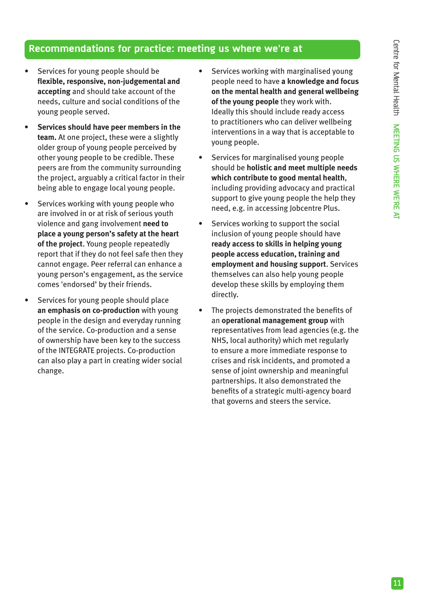## **Recommendations for practice: meeting us where we're at**

- Services for young people should be **flexible, responsive, non-judgemental and accepting** and should take account of the needs, culture and social conditions of the young people served.
- **• Services should have peer members in the team.** At one project, these were a slightly older group of young people perceived by other young people to be credible. These peers are from the community surrounding the project, arguably a critical factor in their being able to engage local young people.
- Services working with young people who are involved in or at risk of serious youth violence and gang involvement **need to place a young person's safety at the heart of the project**. Young people repeatedly report that if they do not feel safe then they cannot engage. Peer referral can enhance a young person's engagement, as the service comes 'endorsed' by their friends.
- Services for young people should place **an emphasis on co-production** with young people in the design and everyday running of the service. Co-production and a sense of ownership have been key to the success of the INTEGRATE projects. Co-production can also play a part in creating wider social change.
- Services working with marginalised young people need to have **a knowledge and focus on the mental health and general wellbeing of the young people** they work with. Ideally this should include ready access to practitioners who can deliver wellbeing interventions in a way that is acceptable to young people.
- Services for marginalised young people should be **holistic and meet multiple needs which contribute to good mental health**, including providing advocacy and practical support to give young people the help they need, e.g. in accessing Jobcentre Plus.
- Services working to support the social inclusion of young people should have **ready access to skills in helping young people access education, training and employment and housing support**. Services themselves can also help young people develop these skills by employing them directly.
- The projects demonstrated the benefits of an **operational management group** with representatives from lead agencies (e.g. the NHS, local authority) which met regularly to ensure a more immediate response to crises and risk incidents, and promoted a sense of joint ownership and meaningful partnerships. It also demonstrated the benefits of a strategic multi-agency board that governs and steers the service.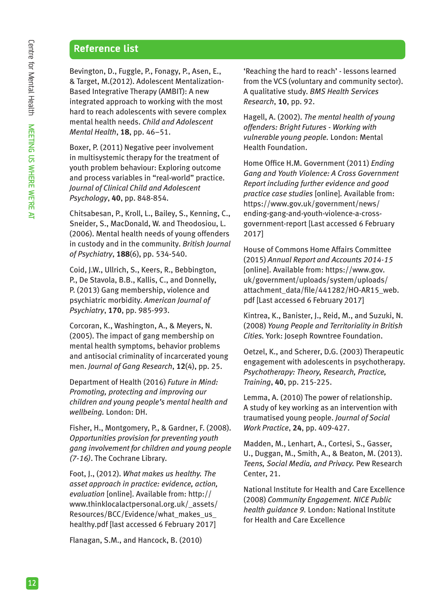# **Reference list**

Bevington, D., Fuggle, P., Fonagy, P., Asen, E., & Target, M.(2012). Adolescent Mentalization-Based Integrative Therapy (AMBIT): A new integrated approach to working with the most hard to reach adolescents with severe complex mental health needs. *Child and Adolescent Mental Health*, **18**, pp. 46–51.

Boxer, P. (2011) Negative peer involvement in multisystemic therapy for the treatment of youth problem behaviour: Exploring outcome and process variables in "real-world" practice. *Journal of Clinical Child and Adolescent Psychology*, **40**, pp. 848-854.

Chitsabesan, P., Kroll, L., Bailey, S., Kenning, C., Sneider, S., MacDonald, W. and Theodosiou, L. (2006). Mental health needs of young offenders in custody and in the community. *British Journal of Psychiatry*, **188**(6), pp. 534-540.

Coid, J.W., Ullrich, S., Keers, R., Bebbington, P., De Stavola, B.B., Kallis, C., and Donnelly, P. (2013) Gang membership, violence and psychiatric morbidity. *American Journal of Psychiatry*, **170**, pp. 985-993.

Corcoran, K., Washington, A., & Meyers, N. (2005). The impact of gang membership on mental health symptoms, behavior problems and antisocial criminality of incarcerated young men. *Journal of Gang Research*, **12**(4), pp. 25.

Department of Health (2016) *Future in Mind: Promoting, protecting and improving our children and young people's mental health and wellbeing.* London: DH.

Fisher, H., Montgomery, P., & Gardner, F. (2008). *Opportunities provision for preventing youth gang involvement for children and young people (7-16)*. The Cochrane Library.

Foot, J., (2012). *What makes us healthy. The asset approach in practice: evidence, action, evaluation* [online]. Available from: http:// www.thinklocalactpersonal.org.uk/\_assets/ Resources/BCC/Evidence/what\_makes\_us\_ healthy.pdf [last accessed 6 February 2017]

Flanagan, S.M., and Hancock, B. (2010)

'Reaching the hard to reach' - lessons learned from the VCS (voluntary and community sector). A qualitative study. *BMS Health Services Research*, **10**, pp. 92.

Hagell, A. (2002). *The mental health of young offenders: Bright Futures - Working with vulnerable young people.* London: Mental Health Foundation.

Home Office H.M. Government (2011) *Ending Gang and Youth Violence: A Cross Government Report including further evidence and good practice case studies* [online]*.* Available from: https://www.gov.uk/government/news/ ending-gang-and-youth-violence-a-crossgovernment-report [Last accessed 6 February 2017]

House of Commons Home Affairs Committee (2015) *Annual Report and Accounts 2014-15*  [online]. Available from: https://www.gov. uk/government/uploads/system/uploads/ attachment\_data/file/441282/HO-AR15\_web. pdf [Last accessed 6 February 2017]

Kintrea, K., Banister, J., Reid, M., and Suzuki, N. (2008) *Young People and Territoriality in British Cities.* York: Joseph Rowntree Foundation.

Oetzel, K., and Scherer, D.G. (2003) Therapeutic engagement with adolescents in psychotherapy. *Psychotherapy: Theory, Research, Practice, Training*, **40**, pp. 215-225.

Lemma, A. (2010) The power of relationship. A study of key working as an intervention with traumatised young people. *Journal of Social Work Practice*, **24**, pp. 409-427.

Madden, M., Lenhart, A., Cortesi, S., Gasser, U., Duggan, M., Smith, A., & Beaton, M. (2013). *Teens, Social Media, and Privacy.* Pew Research Center, 21.

National Institute for Health and Care Excellence (2008) *Community Engagement. NICE Public health guidance 9.* London: National Institute for Health and Care Excellence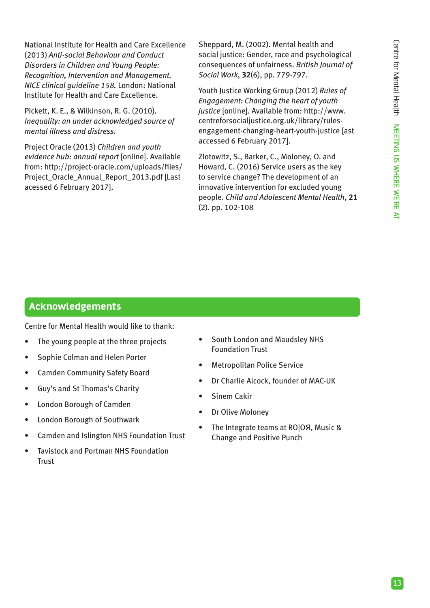National Institute for Health and Care Excellence (2013) *Anti-social Behaviour and Conduct Disorders in Children and Young People: Recognition, Intervention and Management. NICE clinical guideline 158.* London: National Institute for Health and Care Excellence.

Pickett, K. E., & Wilkinson, R. G. (2010). *Inequality: an under acknowledged source of mental illness and distress.*

Project Oracle (2013) *Children and youth evidence hub: annual report* [online]. Available from: http://project-oracle.com/uploads/files/ Project\_Oracle\_Annual\_Report\_2013.pdf [Last acessed 6 February 2017].

Sheppard, M. (2002). Mental health and social justice: Gender, race and psychological consequences of unfairness. *British Journal of Social Work*, **32**(6), pp. 779-797.

Youth Justice Working Group (2012) *Rules of Engagement: Changing the heart of youth justice* [online]*.* Available from: http://www. centreforsocialjustice.org.uk/library/rulesengagement-changing-heart-youth-justice [ast accessed 6 February 2017].

Zlotowitz, S., Barker, C., Moloney, O. and Howard, C. (2016) Service users as the key to service change? The development of an innovative intervention for excluded young people. *Child and Adolescent Mental Health*, **21** (2). pp. 102-108

# **Acknowledgements**

Centre for Mental Health would like to thank:

- The young people at the three projects
- Sophie Colman and Helen Porter
- Camden Community Safety Board
- Guy's and St Thomas's Charity
- London Borough of Camden
- London Borough of Southwark
- Camden and Islington NHS Foundation Trust
- Tavistock and Portman NHS Foundation Trust
- South London and Maudsley NHS Foundation Trust
- Metropolitan Police Service
- Dr Charlie Alcock, founder of MAC-UK
- Sinem Cakir
- Dr Olive Moloney
- The Integrate teams at RO|OЯ, Music & Change and Positive Punch